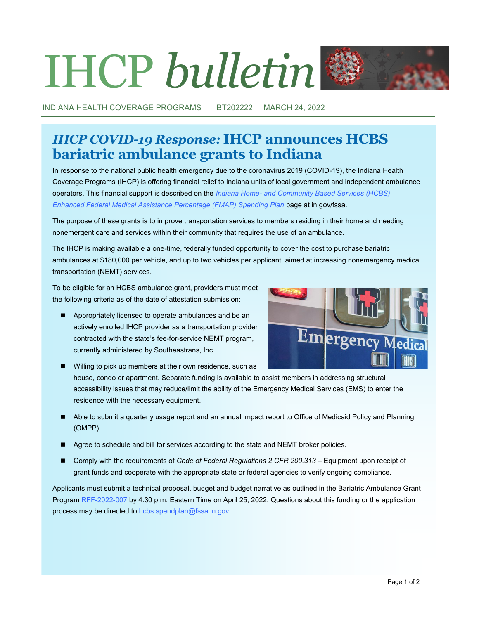# IHCP *bulletin*

INDIANA HEALTH COVERAGE PROGRAMS BT202222 MARCH 24, 2022

# *IHCP COVID-19 Response:* **IHCP announces HCBS bariatric ambulance grants to Indiana**

In response to the national public health emergency due to the coronavirus 2019 (COVID-19), the Indiana Health Coverage Programs (IHCP) is offering financial relief to Indiana units of local government and independent ambulance operators. This financial support is described on the *Indiana Home- [and Community Based Services \(HCBS\)](https://www.in.gov/fssa/ompp/hcbs-enhanced-fmap-spending-plan)  [Enhanced Federal Medical Assistance Percentage \(FMAP\) Spending Plan](https://www.in.gov/fssa/ompp/hcbs-enhanced-fmap-spending-plan)* page at in.gov/fssa.

The purpose of these grants is to improve transportation services to members residing in their home and needing nonemergent care and services within their community that requires the use of an ambulance.

The IHCP is making available a one-time, federally funded opportunity to cover the cost to purchase bariatric ambulances at \$180,000 per vehicle, and up to two vehicles per applicant, aimed at increasing nonemergency medical transportation (NEMT) services.

To be eligible for an HCBS ambulance grant, providers must meet the following criteria as of the date of attestation submission:

■ Appropriately licensed to operate ambulances and be an actively enrolled IHCP provider as a transportation provider contracted with the state's fee-for-service NEMT program, currently administered by Southeastrans, Inc.



- Willing to pick up members at their own residence, such as house, condo or apartment. Separate funding is available to assist members in addressing structural accessibility issues that may reduce/limit the ability of the Emergency Medical Services (EMS) to enter the residence with the necessary equipment.
- Able to submit a quarterly usage report and an annual impact report to Office of Medicaid Policy and Planning (OMPP).
- Agree to schedule and bill for services according to the state and NEMT broker policies.
- Comply with the requirements of *Code of Federal Regulations 2 CFR 200.313* Equipment upon receipt of grant funds and cooperate with the appropriate state or federal agencies to verify ongoing compliance.

Applicants must submit a technical proposal, budget and budget narrative as outlined in the Bariatric Ambulance Grant Program RFF-[2022](http://www.in.gov/fssa/ompp/hcbs-enhanced-fmap-spending-plan/bariatric-ambulance-grant-program-now-open/)-007 by 4:30 p.m. Eastern Time on April 25, 2022. Questions about this funding or the application process may be directed to [hcbs.spendplan@fssa.in.gov.](mailto:hcbs.spendplan@fssa.in.gov)